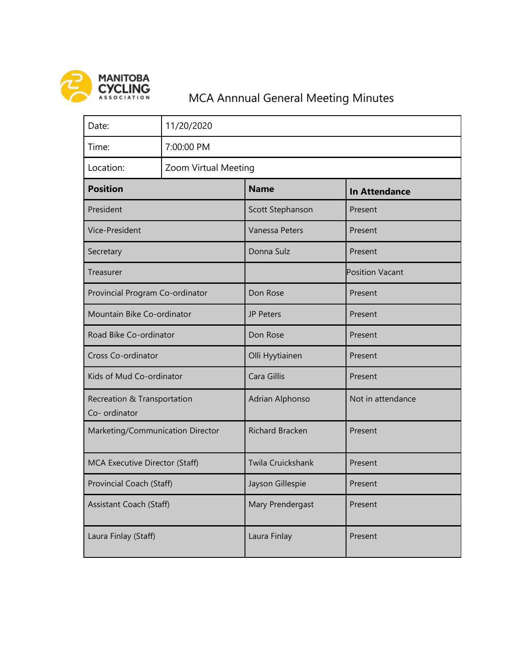

## MCA Annnual General Meeting Minutes

| Date:                                        | 11/20/2020           |                        |                        |
|----------------------------------------------|----------------------|------------------------|------------------------|
| Time:                                        | 7:00:00 PM           |                        |                        |
| Location:                                    | Zoom Virtual Meeting |                        |                        |
| <b>Position</b>                              |                      | <b>Name</b>            | <b>In Attendance</b>   |
| President                                    |                      | Scott Stephanson       | Present                |
| Vice-President                               |                      | <b>Vanessa Peters</b>  | Present                |
| Secretary                                    |                      | Donna Sulz             | Present                |
| Treasurer                                    |                      |                        | <b>Position Vacant</b> |
| Provincial Program Co-ordinator              |                      | Don Rose               | Present                |
| Mountain Bike Co-ordinator                   |                      | <b>JP Peters</b>       | Present                |
| Road Bike Co-ordinator                       |                      | Don Rose               | Present                |
| Cross Co-ordinator                           |                      | Olli Hyytiainen        | Present                |
| Kids of Mud Co-ordinator                     |                      | Cara Gillis            | Present                |
| Recreation & Transportation<br>Co- ordinator |                      | Adrian Alphonso        | Not in attendance      |
| Marketing/Communication Director             |                      | <b>Richard Bracken</b> | Present                |
| MCA Executive Director (Staff)               |                      | Twila Cruickshank      | Present                |
| Provincial Coach (Staff)                     |                      | Jayson Gillespie       | Present                |
| Assistant Coach (Staff)                      |                      | Mary Prendergast       | Present                |
| Laura Finlay (Staff)                         |                      | Laura Finlay           | Present                |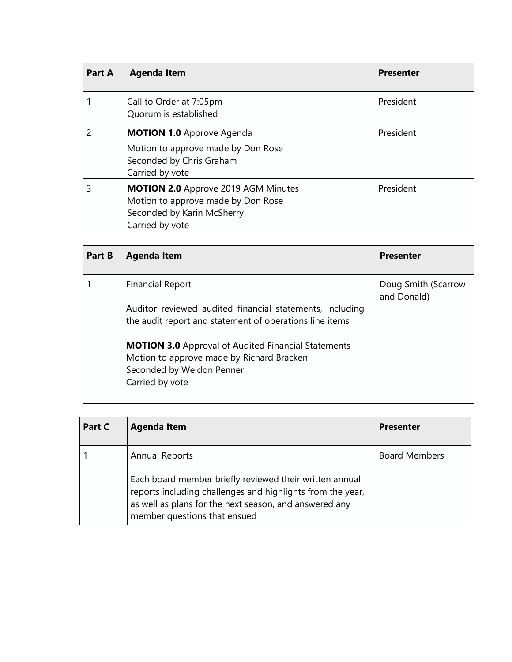| <b>Part A</b> | <b>Agenda Item</b>                                                                                                                | <b>Presenter</b> |
|---------------|-----------------------------------------------------------------------------------------------------------------------------------|------------------|
|               | Call to Order at 7:05pm<br>Quorum is established                                                                                  | President        |
| 2             | <b>MOTION 1.0 Approve Agenda</b><br>Motion to approve made by Don Rose<br>Seconded by Chris Graham<br>Carried by vote             | President        |
| 3             | <b>MOTION 2.0</b> Approve 2019 AGM Minutes<br>Motion to approve made by Don Rose<br>Seconded by Karin McSherry<br>Carried by vote | President        |

| Part B | <b>Agenda Item</b>                                                                                                  | <b>Presenter</b>                   |
|--------|---------------------------------------------------------------------------------------------------------------------|------------------------------------|
|        | <b>Financial Report</b>                                                                                             | Doug Smith (Scarrow<br>and Donald) |
|        | Auditor reviewed audited financial statements, including<br>the audit report and statement of operations line items |                                    |
|        | <b>MOTION 3.0</b> Approval of Audited Financial Statements<br>Motion to approve made by Richard Bracken             |                                    |
|        | Seconded by Weldon Penner                                                                                           |                                    |
|        | Carried by vote                                                                                                     |                                    |

| Part C | <b>Agenda Item</b>                                                                                                                                                                                                                       | <b>Presenter</b>     |
|--------|------------------------------------------------------------------------------------------------------------------------------------------------------------------------------------------------------------------------------------------|----------------------|
|        | <b>Annual Reports</b><br>Each board member briefly reviewed their written annual<br>reports including challenges and highlights from the year,<br>as well as plans for the next season, and answered any<br>member questions that ensued | <b>Board Members</b> |